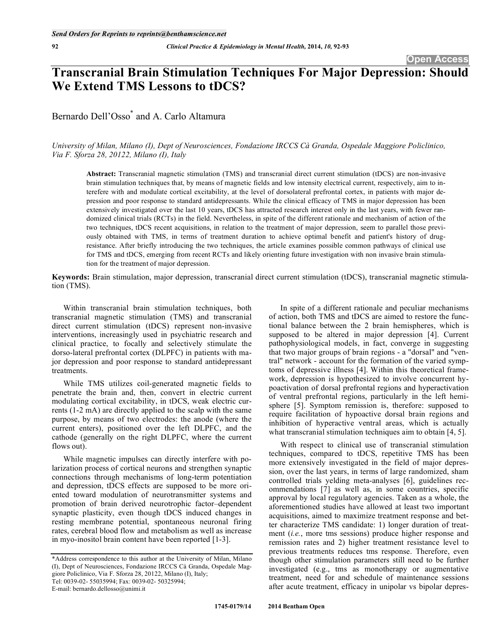# **Transcranial Brain Stimulation Techniques For Major Depression: Should We Extend TMS Lessons to tDCS?**

Bernardo Dell'Osso\* and A. Carlo Altamura

*University of Milan, Milano (I), Dept of Neurosciences, Fondazione IRCCS Cà Granda, Ospedale Maggiore Policlinico, Via F. Sforza 28, 20122, Milano (I), Italy* 

**Abstract:** Transcranial magnetic stimulation (TMS) and transcranial direct current stimulation (tDCS) are non-invasive brain stimulation techniques that, by means of magnetic fields and low intensity electrical current, respectively, aim to interefere with and modulate cortical excitability, at the level of dorsolateral prefrontal cortex, in patients with major depression and poor response to standard antidepressants. While the clinical efficacy of TMS in major depression has been extensively investigated over the last 10 years, tDCS has attracted research interest only in the last years, with fewer randomized clinical trials (RCTs) in the field. Nevertheless, in spite of the different rationale and mechanism of action of the two techniques, tDCS recent acquisitions, in relation to the treatment of major depression, seem to parallel those previously obtained with TMS, in terms of treatment duration to achieve optimal benefit and patient's history of drugresistance. After briefly introducing the two techniques, the article examines possible common pathways of clinical use for TMS and tDCS, emerging from recent RCTs and likely orienting future investigation with non invasive brain stimulation for the treatment of major depression.

**Keywords:** Brain stimulation, major depression, transcranial direct current stimulation (tDCS), transcranial magnetic stimulation (TMS).

Within transcranial brain stimulation techniques, both transcranial magnetic stimulation (TMS) and transcranial direct current stimulation (tDCS) represent non-invasive interventions, increasingly used in psychiatric research and clinical practice, to focally and selectively stimulate the dorso-lateral prefrontal cortex (DLPFC) in patients with major depression and poor response to standard antidepressant treatments.

While TMS utilizes coil-generated magnetic fields to penetrate the brain and, then, convert in electric current modulating cortical excitability, in tDCS, weak electric currents (1-2 mA) are directly applied to the scalp with the same purpose, by means of two electrodes: the anode (where the current enters), positioned over the left DLPFC, and the cathode (generally on the right DLPFC, where the current flows out).

While magnetic impulses can directly interfere with polarization process of cortical neurons and strengthen synaptic connections through mechanisms of long-term potentiation and depression, tDCS effects are supposed to be more oriented toward modulation of neurotransmitter systems and promotion of brain derived neurotrophic factor–dependent synaptic plasticity, even though tDCS induced changes in resting membrane potential, spontaneous neuronal firing rates, cerebral blood flow and metabolism as well as increase in myo-inositol brain content have been reported [1-3].

E-mail: bernardo.dellosso@unimi.it

In spite of a different rationale and peculiar mechanisms of action, both TMS and tDCS are aimed to restore the functional balance between the 2 brain hemispheres, which is supposed to be altered in major depression [4]. Current pathophysiological models, in fact, converge in suggesting that two major groups of brain regions - a "dorsal" and "ventral" network - account for the formation of the varied symptoms of depressive illness [4]. Within this theoretical framework, depression is hypothesized to involve concurrent hypoactivation of dorsal prefrontal regions and hyperactivation of ventral prefrontal regions, particularly in the left hemisphere [5]. Symptom remission is, therefore: supposed to require facilitation of hypoactive dorsal brain regions and inhibition of hyperactive ventral areas, which is actually what transcranial stimulation techniques aim to obtain [4, 5].

With respect to clinical use of transcranial stimulation techniques, compared to tDCS, repetitive TMS has been more extensively investigated in the field of major depression, over the last years, in terms of large randomized, sham controlled trials yelding meta-analyses [6], guidelines recommendations [7] as well as, in some countries, specific approval by local regulatory agencies. Taken as a whole, the aforementioned studies have allowed at least two important acquisitions, aimed to maximize treatment response and better characterize TMS candidate: 1) longer duration of treatment (*i.e.*, more tms sessions) produce higher response and remission rates and 2) higher treatment resistance level to previous treatments reduces tms response. Therefore, even though other stimulation parameters still need to be further investigated (e.g., tms as monotherapy or augmentative treatment, need for and schedule of maintenance sessions after acute treatment, efficacy in unipolar vs bipolar depres-

<sup>\*</sup>Address correspondence to this author at the University of Milan, Milano (I), Dept of Neurosciences, Fondazione IRCCS Cà Granda, Ospedale Maggiore Policlinico, Via F. Sforza 28, 20122, Milano (I), Italy; Tel: 0039-02- 55035994; Fax: 0039-02- 50325994;